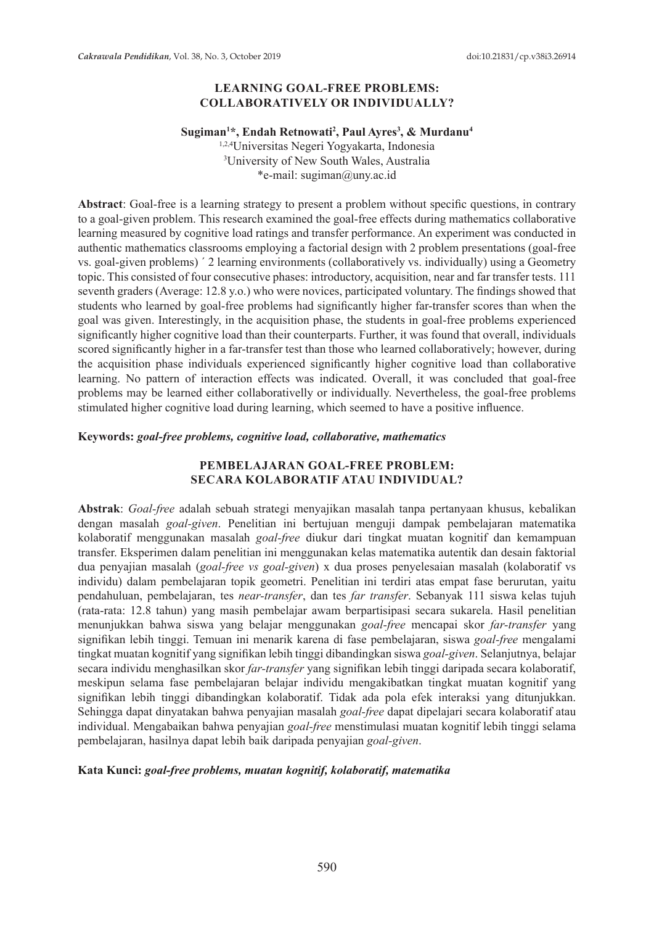## **LEARNING GOAL-FREE PROBLEMS: COLLABORATIVELY OR INDIVIDUALLY?**

## Sugiman<sup>1\*</sup>, Endah Retnowati<sup>2</sup>, Paul Ayres<sup>3</sup>, & Murdanu<sup>4</sup>

1,2,4Universitas Negeri Yogyakarta, Indonesia 3 University of New South Wales, Australia \*e-mail: sugiman@uny.ac.id

**Abstract**: Goal-free is a learning strategy to present a problem without specific questions, in contrary to a goal-given problem. This research examined the goal-free effects during mathematics collaborative learning measured by cognitive load ratings and transfer performance. An experiment was conducted in authentic mathematics classrooms employing a factorial design with 2 problem presentations (goal-free vs. goal-given problems) ´ 2 learning environments (collaboratively vs. individually) using a Geometry topic. This consisted of four consecutive phases: introductory, acquisition, near and far transfer tests. 111 seventh graders (Average: 12.8 y.o.) who were novices, participated voluntary. The findings showed that students who learned by goal-free problems had significantly higher far-transfer scores than when the goal was given. Interestingly, in the acquisition phase, the students in goal-free problems experienced significantly higher cognitive load than their counterparts. Further, it was found that overall, individuals scored significantly higher in a far-transfer test than those who learned collaboratively; however, during the acquisition phase individuals experienced significantly higher cognitive load than collaborative learning. No pattern of interaction effects was indicated. Overall, it was concluded that goal-free problems may be learned either collaborativelly or individually. Nevertheless, the goal-free problems stimulated higher cognitive load during learning, which seemed to have a positive influence.

### **Keywords:** *goal-free problems, cognitive load, collaborative, mathematics*

### **PEMBELAJARAN GOAL-FREE PROBLEM: SECARA KOLABORATIF ATAU INDIVIDUAL?**

**Abstrak**: *Goal-free* adalah sebuah strategi menyajikan masalah tanpa pertanyaan khusus, kebalikan dengan masalah *goal-given*. Penelitian ini bertujuan menguji dampak pembelajaran matematika kolaboratif menggunakan masalah *goal-free* diukur dari tingkat muatan kognitif dan kemampuan transfer. Eksperimen dalam penelitian ini menggunakan kelas matematika autentik dan desain faktorial dua penyajian masalah (*goal-free vs goal-given*) x dua proses penyelesaian masalah (kolaboratif vs individu) dalam pembelajaran topik geometri. Penelitian ini terdiri atas empat fase berurutan, yaitu pendahuluan, pembelajaran, tes *near-transfer*, dan tes *far transfer*. Sebanyak 111 siswa kelas tujuh (rata-rata: 12.8 tahun) yang masih pembelajar awam berpartisipasi secara sukarela. Hasil penelitian menunjukkan bahwa siswa yang belajar menggunakan *goal-free* mencapai skor *far-transfer* yang signifikan lebih tinggi. Temuan ini menarik karena di fase pembelajaran, siswa *goal-free* mengalami tingkat muatan kognitif yang signifikan lebih tinggi dibandingkan siswa *goal-given*. Selanjutnya, belajar secara individu menghasilkan skor *far-transfer* yang signifikan lebih tinggi daripada secara kolaboratif, meskipun selama fase pembelajaran belajar individu mengakibatkan tingkat muatan kognitif yang signifikan lebih tinggi dibandingkan kolaboratif. Tidak ada pola efek interaksi yang ditunjukkan. Sehingga dapat dinyatakan bahwa penyajian masalah *goal-free* dapat dipelajari secara kolaboratif atau individual. Mengabaikan bahwa penyajian *goal-free* menstimulasi muatan kognitif lebih tinggi selama pembelajaran, hasilnya dapat lebih baik daripada penyajian *goal-given*.

## **Kata Kunci:** *goal-free problems, muatan kognitif, kolaboratif, matematika*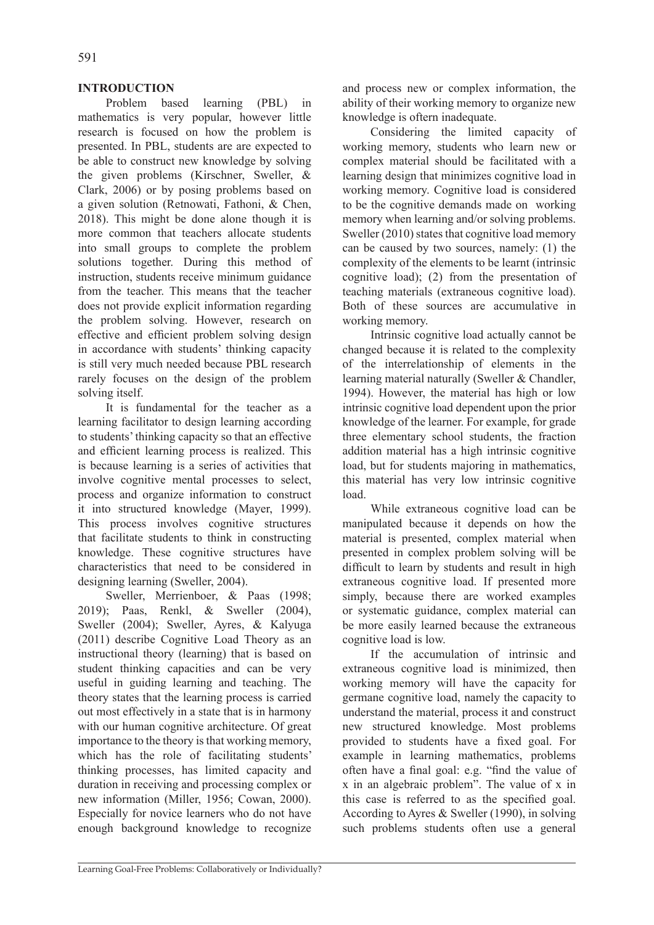### **INTRODUCTION**

Problem based learning (PBL) in mathematics is very popular, however little research is focused on how the problem is presented. In PBL, students are are expected to be able to construct new knowledge by solving the given problems (Kirschner, Sweller, & Clark, 2006) or by posing problems based on a given solution (Retnowati, Fathoni, & Chen, 2018). This might be done alone though it is more common that teachers allocate students into small groups to complete the problem solutions together. During this method of instruction, students receive minimum guidance from the teacher. This means that the teacher does not provide explicit information regarding the problem solving. However, research on effective and efficient problem solving design in accordance with students' thinking capacity is still very much needed because PBL research rarely focuses on the design of the problem solving itself.

It is fundamental for the teacher as a learning facilitator to design learning according to students' thinking capacity so that an effective and efficient learning process is realized. This is because learning is a series of activities that involve cognitive mental processes to select, process and organize information to construct it into structured knowledge (Mayer, 1999). This process involves cognitive structures that facilitate students to think in constructing knowledge. These cognitive structures have characteristics that need to be considered in designing learning (Sweller, 2004).

Sweller, Merrienboer, & Paas (1998; 2019); Paas, Renkl, & Sweller (2004), Sweller (2004); Sweller, Ayres, & Kalyuga (2011) describe Cognitive Load Theory as an instructional theory (learning) that is based on student thinking capacities and can be very useful in guiding learning and teaching. The theory states that the learning process is carried out most effectively in a state that is in harmony with our human cognitive architecture. Of great importance to the theory is that working memory, which has the role of facilitating students' thinking processes, has limited capacity and duration in receiving and processing complex or new information (Miller, 1956; Cowan, 2000). Especially for novice learners who do not have enough background knowledge to recognize and process new or complex information, the ability of their working memory to organize new knowledge is oftern inadequate.

Considering the limited capacity of working memory, students who learn new or complex material should be facilitated with a learning design that minimizes cognitive load in working memory. Cognitive load is considered to be the cognitive demands made on working memory when learning and/or solving problems. Sweller (2010) states that cognitive load memory can be caused by two sources, namely: (1) the complexity of the elements to be learnt (intrinsic cognitive load); (2) from the presentation of teaching materials (extraneous cognitive load). Both of these sources are accumulative in working memory.

Intrinsic cognitive load actually cannot be changed because it is related to the complexity of the interrelationship of elements in the learning material naturally (Sweller & Chandler, 1994). However, the material has high or low intrinsic cognitive load dependent upon the prior knowledge of the learner. For example, for grade three elementary school students, the fraction addition material has a high intrinsic cognitive load, but for students majoring in mathematics, this material has very low intrinsic cognitive load.

While extraneous cognitive load can be manipulated because it depends on how the material is presented, complex material when presented in complex problem solving will be difficult to learn by students and result in high extraneous cognitive load. If presented more simply, because there are worked examples or systematic guidance, complex material can be more easily learned because the extraneous cognitive load is low.

If the accumulation of intrinsic and extraneous cognitive load is minimized, then working memory will have the capacity for germane cognitive load, namely the capacity to understand the material, process it and construct new structured knowledge. Most problems provided to students have a fixed goal. For example in learning mathematics, problems often have a final goal: e.g. "find the value of x in an algebraic problem". The value of x in this case is referred to as the specified goal. According to Ayres & Sweller (1990), in solving such problems students often use a general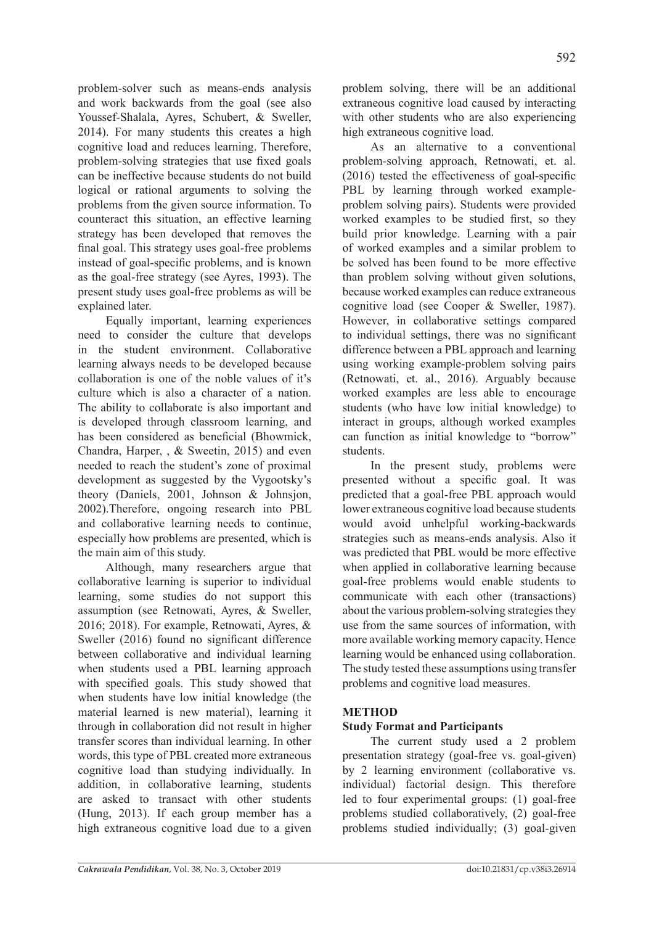problem-solver such as means-ends analysis and work backwards from the goal (see also Youssef-Shalala, Ayres, Schubert, & Sweller, 2014). For many students this creates a high cognitive load and reduces learning. Therefore, problem-solving strategies that use fixed goals can be ineffective because students do not build logical or rational arguments to solving the problems from the given source information. To counteract this situation, an effective learning strategy has been developed that removes the final goal. This strategy uses goal-free problems instead of goal-specific problems, and is known as the goal-free strategy (see Ayres, 1993). The present study uses goal-free problems as will be explained later.

Equally important, learning experiences need to consider the culture that develops in the student environment. Collaborative learning always needs to be developed because collaboration is one of the noble values of it's culture which is also a character of a nation. The ability to collaborate is also important and is developed through classroom learning, and has been considered as beneficial (Bhowmick, Chandra, Harper, , & Sweetin, 2015) and even needed to reach the student's zone of proximal development as suggested by the Vygootsky's theory (Daniels, 2001, Johnson & Johnsjon, 2002).Therefore, ongoing research into PBL and collaborative learning needs to continue, especially how problems are presented, which is the main aim of this study.

Although, many researchers argue that collaborative learning is superior to individual learning, some studies do not support this assumption (see Retnowati, Ayres, & Sweller, 2016; 2018). For example, Retnowati, Ayres, & Sweller (2016) found no significant difference between collaborative and individual learning when students used a PBL learning approach with specified goals. This study showed that when students have low initial knowledge (the material learned is new material), learning it through in collaboration did not result in higher transfer scores than individual learning. In other words, this type of PBL created more extraneous cognitive load than studying individually. In addition, in collaborative learning, students are asked to transact with other students (Hung, 2013). If each group member has a high extraneous cognitive load due to a given

problem solving, there will be an additional extraneous cognitive load caused by interacting with other students who are also experiencing high extraneous cognitive load.

As an alternative to a conventional problem-solving approach, Retnowati, et. al. (2016) tested the effectiveness of goal-specific PBL by learning through worked exampleproblem solving pairs). Students were provided worked examples to be studied first, so they build prior knowledge. Learning with a pair of worked examples and a similar problem to be solved has been found to be more effective than problem solving without given solutions, because worked examples can reduce extraneous cognitive load (see Cooper & Sweller, 1987). However, in collaborative settings compared to individual settings, there was no significant difference between a PBL approach and learning using working example-problem solving pairs (Retnowati, et. al., 2016). Arguably because worked examples are less able to encourage students (who have low initial knowledge) to interact in groups, although worked examples can function as initial knowledge to "borrow" students.

In the present study, problems were presented without a specific goal. It was predicted that a goal-free PBL approach would lower extraneous cognitive load because students would avoid unhelpful working-backwards strategies such as means-ends analysis. Also it was predicted that PBL would be more effective when applied in collaborative learning because goal-free problems would enable students to communicate with each other (transactions) about the various problem-solving strategies they use from the same sources of information, with more available working memory capacity. Hence learning would be enhanced using collaboration. The study tested these assumptions using transfer problems and cognitive load measures.

# **METHOD**

## **Study Format and Participants**

The current study used a 2 problem presentation strategy (goal-free vs. goal-given) by 2 learning environment (collaborative vs. individual) factorial design. This therefore led to four experimental groups: (1) goal-free problems studied collaboratively, (2) goal-free problems studied individually; (3) goal-given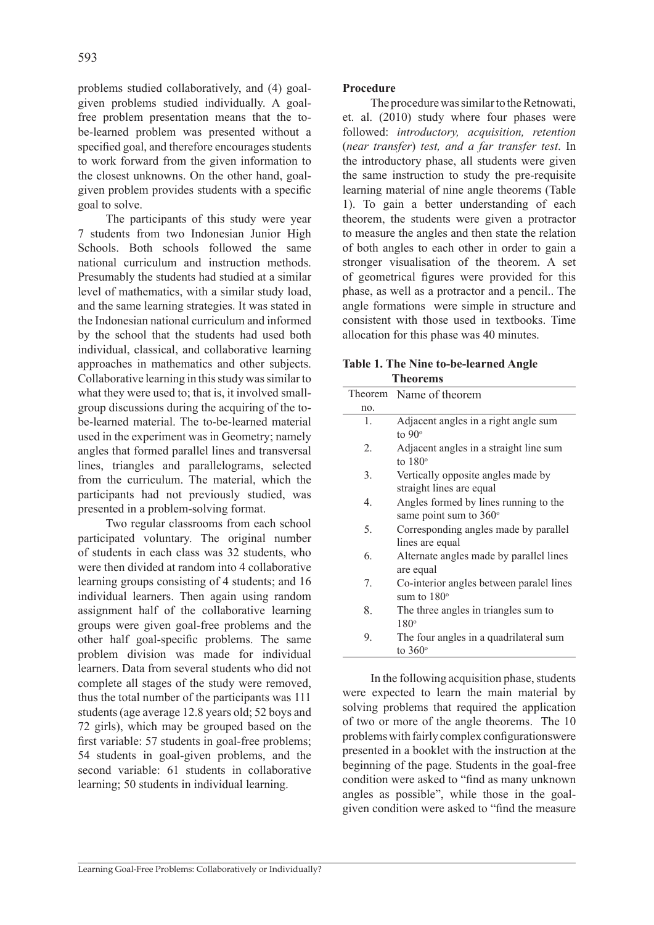problems studied collaboratively, and (4) goalgiven problems studied individually. A goalfree problem presentation means that the tobe-learned problem was presented without a specified goal, and therefore encourages students to work forward from the given information to the closest unknowns. On the other hand, goalgiven problem provides students with a specific goal to solve.

The participants of this study were year 7 students from two Indonesian Junior High Schools. Both schools followed the same national curriculum and instruction methods. Presumably the students had studied at a similar level of mathematics, with a similar study load, and the same learning strategies. It was stated in the Indonesian national curriculum and informed by the school that the students had used both individual, classical, and collaborative learning approaches in mathematics and other subjects. Collaborative learning in this study was similar to what they were used to; that is, it involved smallgroup discussions during the acquiring of the tobe-learned material. The to-be-learned material used in the experiment was in Geometry; namely angles that formed parallel lines and transversal lines, triangles and parallelograms, selected from the curriculum. The material, which the participants had not previously studied, was presented in a problem-solving format.

Two regular classrooms from each school participated voluntary. The original number of students in each class was 32 students, who were then divided at random into 4 collaborative learning groups consisting of 4 students; and 16 individual learners. Then again using random assignment half of the collaborative learning groups were given goal-free problems and the other half goal-specific problems. The same problem division was made for individual learners. Data from several students who did not complete all stages of the study were removed, thus the total number of the participants was 111 students (age average 12.8 years old; 52 boys and 72 girls), which may be grouped based on the first variable: 57 students in goal-free problems; 54 students in goal-given problems, and the second variable: 61 students in collaborative learning; 50 students in individual learning.

#### **Procedure**

The procedure was similar to the Retnowati, et. al. (2010) study where four phases were followed: *introductory, acquisition, retention* (*near transfer*) *test, and a far transfer test*. In the introductory phase, all students were given the same instruction to study the pre-requisite learning material of nine angle theorems (Table 1). To gain a better understanding of each theorem, the students were given a protractor to measure the angles and then state the relation of both angles to each other in order to gain a stronger visualisation of the theorem. A set of geometrical figures were provided for this phase, as well as a protractor and a pencil.. The angle formations were simple in structure and consistent with those used in textbooks. Time allocation for this phase was 40 minutes.

| <b>Table 1. The Nine to-be-learned Angle</b> |
|----------------------------------------------|
| <b>Theorems</b>                              |

| Theorem     | Name of theorem                                                        |
|-------------|------------------------------------------------------------------------|
| no.         |                                                                        |
| 1.          | Adjacent angles in a right angle sum<br>to $90^\circ$                  |
| 2.          | Adjacent angles in a straight line sum<br>to $180^\circ$               |
| 3.          | Vertically opposite angles made by<br>straight lines are equal         |
| $4_{\cdot}$ | Angles formed by lines running to the<br>same point sum to $360^\circ$ |
| 5.          | Corresponding angles made by parallel<br>lines are equal               |
| 6.          | Alternate angles made by parallel lines<br>are equal                   |
| 7.          | Co-interior angles between paralel lines<br>sum to $180^\circ$         |
| 8.          | The three angles in triangles sum to<br>$180^\circ$                    |
| 9.          | The four angles in a quadrilateral sum<br>to $360^\circ$               |
|             |                                                                        |

In the following acquisition phase, students were expected to learn the main material by solving problems that required the application of two or more of the angle theorems. The 10 problems with fairly complex configurationswere presented in a booklet with the instruction at the beginning of the page. Students in the goal-free condition were asked to "find as many unknown angles as possible", while those in the goalgiven condition were asked to "find the measure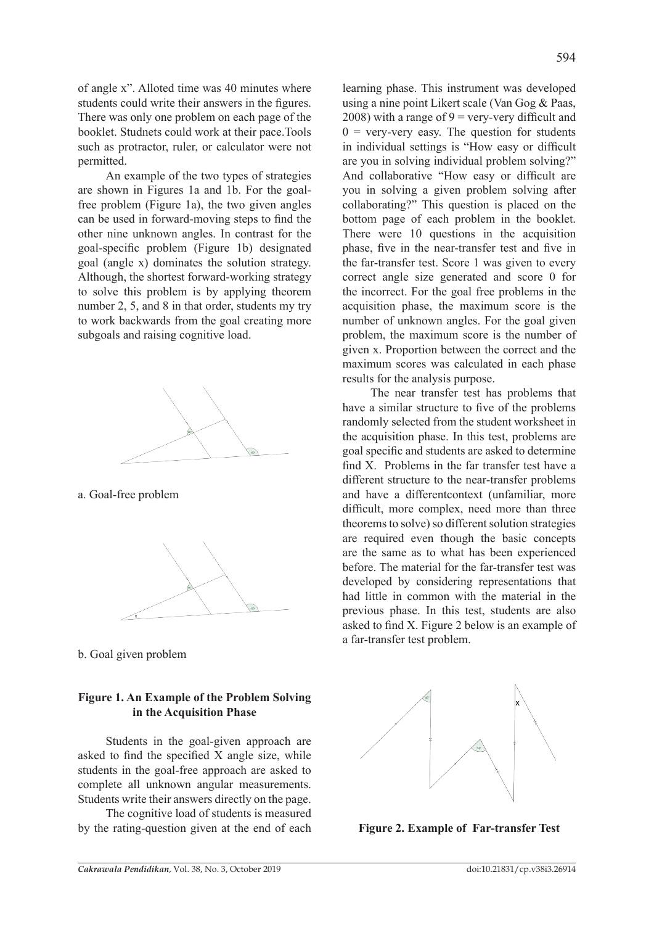of angle x". Alloted time was 40 minutes where students could write their answers in the figures. There was only one problem on each page of the booklet. Studnets could work at their pace.Tools such as protractor, ruler, or calculator were not permitted.

An example of the two types of strategies are shown in Figures 1a and 1b. For the goalfree problem (Figure 1a), the two given angles can be used in forward-moving steps to find the other nine unknown angles. In contrast for the goal-specific problem (Figure 1b) designated goal (angle x) dominates the solution strategy. Although, the shortest forward-working strategy to solve this problem is by applying theorem number 2, 5, and 8 in that order, students my try to work backwards from the goal creating more subgoals and raising cognitive load.



a. Goal-free problem



b. Goal given problem

### **Figure 1. An Example of the Problem Solving in the Acquisition Phase**

Students in the goal-given approach are asked to find the specified X angle size, while students in the goal-free approach are asked to complete all unknown angular measurements. Students write their answers directly on the page.

The cognitive load of students is measured by the rating-question given at the end of each learning phase. This instrument was developed using a nine point Likert scale (Van Gog & Paas, 2008) with a range of  $9 =$  very-very difficult and  $0 = \text{very-very easy}$ . The question for students in individual settings is "How easy or difficult are you in solving individual problem solving?" And collaborative "How easy or difficult are you in solving a given problem solving after collaborating?" This question is placed on the bottom page of each problem in the booklet. There were 10 questions in the acquisition phase, five in the near-transfer test and five in the far-transfer test. Score 1 was given to every correct angle size generated and score 0 for the incorrect. For the goal free problems in the acquisition phase, the maximum score is the number of unknown angles. For the goal given problem, the maximum score is the number of given x. Proportion between the correct and the maximum scores was calculated in each phase results for the analysis purpose.

The near transfer test has problems that have a similar structure to five of the problems randomly selected from the student worksheet in the acquisition phase. In this test, problems are goal specific and students are asked to determine find X. Problems in the far transfer test have a different structure to the near-transfer problems and have a differentcontext (unfamiliar, more difficult, more complex, need more than three theorems to solve) so different solution strategies are required even though the basic concepts are the same as to what has been experienced before. The material for the far-transfer test was developed by considering representations that had little in common with the material in the previous phase. In this test, students are also asked to find X. Figure 2 below is an example of a far-transfer test problem.



**Figure 2. Example of Far-transfer Test**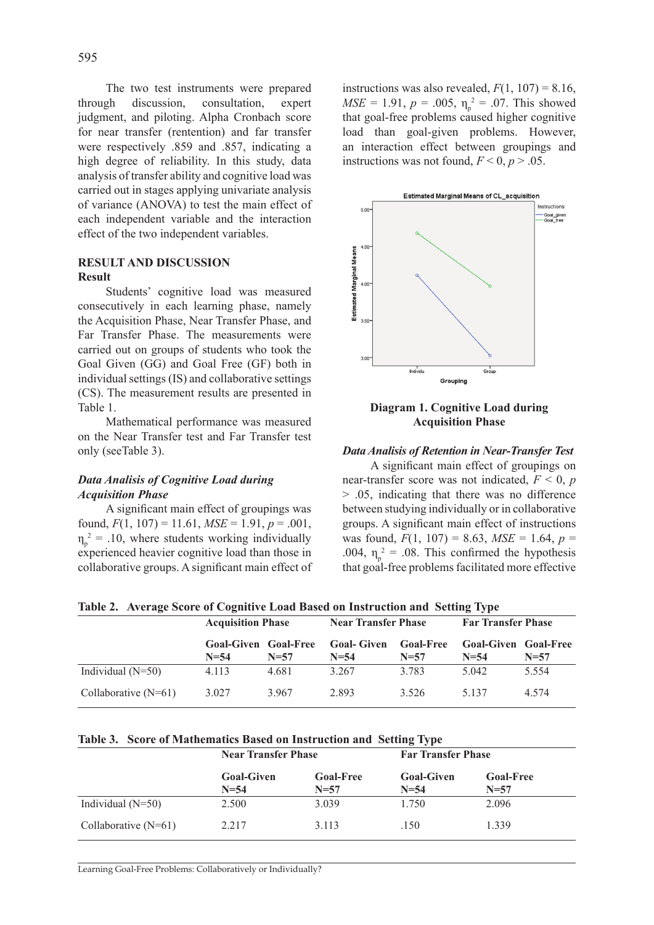The two test instruments were prepared through discussion, consultation, expert judgment, and piloting. Alpha Cronbach score for near transfer (rentention) and far transfer were respectively .859 and .857, indicating a high degree of reliability. In this study, data analysis of transfer ability and cognitive load was carried out in stages applying univariate analysis of variance (ANOVA) to test the main effect of each independent variable and the interaction effect of the two independent variables.

### **RESULT AND DISCUSSION Result**

Students' cognitive load was measured consecutively in each learning phase, namely the Acquisition Phase, Near Transfer Phase, and Far Transfer Phase. The measurements were carried out on groups of students who took the Goal Given (GG) and Goal Free (GF) both in individual settings (IS) and collaborative settings (CS). The measurement results are presented in Table 1.

Mathematical performance was measured on the Near Transfer test and Far Transfer test only (seeTable 3).

### *Data Analisis of Cognitive Load during Acquisition Phase*

A significant main effect of groupings was found,  $F(1, 107) = 11.61$ ,  $MSE = 1.91$ ,  $p = .001$ ,  $\eta_p^2$  = .10, where students working individually experienced heavier cognitive load than those in collaborative groups. A significant main effect of

instructions was also revealed,  $F(1, 107) = 8.16$ ,  $MSE = 1.91$ ,  $p = .005$ ,  $\eta_p^2 = .07$ . This showed that goal-free problems caused higher cognitive load than goal-given problems. However, an interaction effect between groupings and instructions was not found,  $F < 0$ ,  $p > .05$ .



#### **Diagram 1. Cognitive Load during Acquisition Phase**

#### *Data Analisis of Retention in Near-Transfer Test*

A significant main effect of groupings on near-transfer score was not indicated,  $F < 0$ , *p* > .05, indicating that there was no difference between studying individually or in collaborative groups. A significant main effect of instructions was found,  $F(1, 107) = 8.63$ ,  $MSE = 1.64$ ,  $p =$ .004,  $\eta_p^2 = .08$ . This confirmed the hypothesis that goal-free problems facilitated more effective

**Table 2. Average Score of Cognitive Load Based on Instruction and Setting Type** 

|                        | <b>Acquisition Phase</b>              |          | <b>Near Transfer Phase</b>    |                            | <b>Far Transfer Phase</b>   |                            |
|------------------------|---------------------------------------|----------|-------------------------------|----------------------------|-----------------------------|----------------------------|
|                        | <b>Goal-Given Goal-Free</b><br>$N=54$ | $N = 57$ | <b>Goal-Given</b><br>$N = 54$ | <b>Goal-Free</b><br>$N=57$ | <b>Goal-Given</b><br>$N=54$ | <b>Goal-Free</b><br>$N=57$ |
| Individual $(N=50)$    | 4.113                                 | 4.681    | 3.267                         | 3.783                      | 5.042                       | 5.554                      |
| Collaborative $(N=61)$ | 3.027                                 | 3.967    | 2.893                         | 3.526                      | 5 1 3 7                     | 4.574                      |

#### **Table 3. Score of Mathematics Based on Instruction and Setting Type**

|                        | <b>Near Transfer Phase</b>  |                              | <b>Far Transfer Phase</b>   |                            |
|------------------------|-----------------------------|------------------------------|-----------------------------|----------------------------|
|                        | <b>Goal-Given</b><br>$N=54$ | <b>Goal-Free</b><br>$N = 57$ | <b>Goal-Given</b><br>$N=54$ | <b>Goal-Free</b><br>$N=57$ |
| Individual $(N=50)$    | 2.500                       | 3.039                        | 1.750                       | 2.096                      |
| Collaborative $(N=61)$ | 2.217                       | 3.113                        | .150                        | 1 339                      |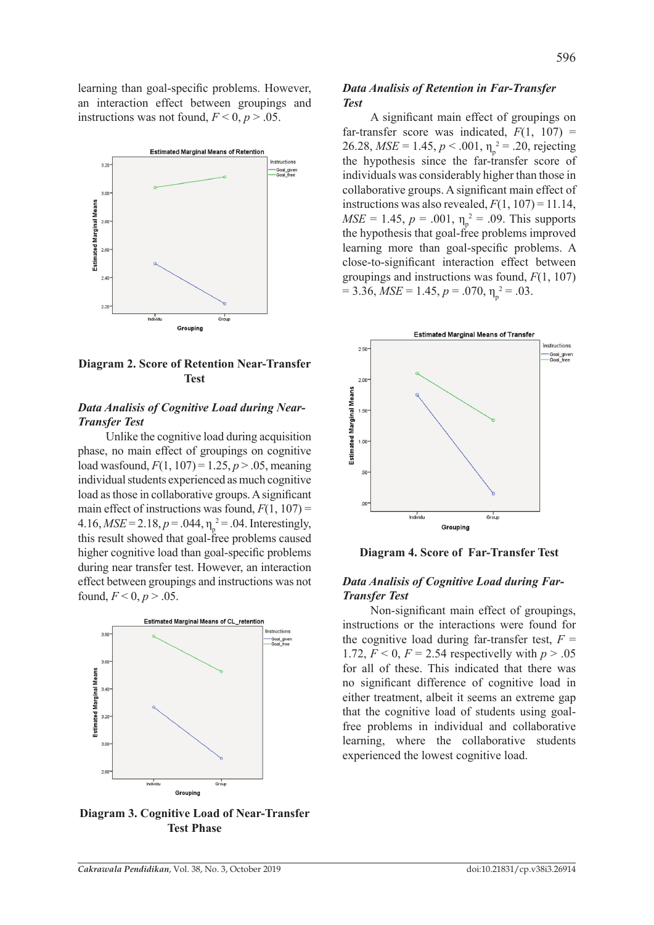learning than goal-specific problems. However, an interaction effect between groupings and instructions was not found,  $F \le 0$ ,  $p > .05$ .



**Diagram 2. Score of Retention Near-Transfer Test**

### *Data Analisis of Cognitive Load during Near-Transfer Test*

Unlike the cognitive load during acquisition phase, no main effect of groupings on cognitive load wasfound,  $F(1, 107) = 1.25$ ,  $p > .05$ , meaning individual students experienced as much cognitive load as those in collaborative groups. A significant main effect of instructions was found,  $F(1, 107)$  =  $4.16, MSE = 2.18, p = .044, \eta_p^2 = .04$ . Interestingly, this result showed that goal-free problems caused higher cognitive load than goal-specific problems during near transfer test. However, an interaction effect between groupings and instructions was not found,  $F < 0, p > .05$ .



**Diagram 3. Cognitive Load of Near-Transfer Test Phase**

#### *Data Analisis of Retention in Far-Transfer Test*

A significant main effect of groupings on far-transfer score was indicated,  $F(1, 107) =$ 26.28,  $MSE = 1.45$ ,  $p < .001$ ,  $\eta_p^2 = .20$ , rejecting the hypothesis since the far-transfer score of individuals was considerably higher than those in collaborative groups. A significant main effect of instructions was also revealed,  $F(1, 107) = 11.14$ ,  $MSE = 1.45$ ,  $p = .001$ ,  $\eta_p^2 = .09$ . This supports the hypothesis that goal-free problems improved learning more than goal-specific problems. A close-to-significant interaction effect between groupings and instructions was found, *F*(1, 107)  $= 3.36, MSE = 1.45, p = .070, \eta_p^2 = .03.$ 



**Diagram 4. Score of Far-Transfer Test**

#### *Data Analisis of Cognitive Load during Far-Transfer Test*

Non-significant main effect of groupings, instructions or the interactions were found for the cognitive load during far-transfer test,  $F =$ 1.72,  $F < 0$ ,  $F = 2.54$  respectivelly with  $p > .05$ for all of these. This indicated that there was no significant difference of cognitive load in either treatment, albeit it seems an extreme gap that the cognitive load of students using goalfree problems in individual and collaborative learning, where the collaborative students experienced the lowest cognitive load.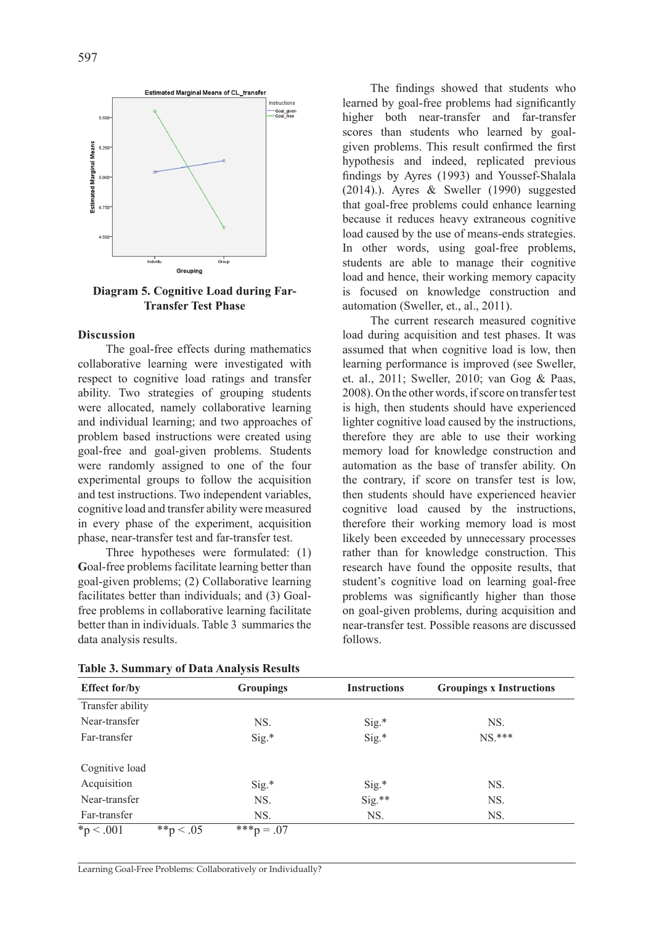

**Diagram 5. Cognitive Load during Far-Transfer Test Phase**

### **Discussion**

The goal-free effects during mathematics collaborative learning were investigated with respect to cognitive load ratings and transfer ability. Two strategies of grouping students were allocated, namely collaborative learning and individual learning; and two approaches of problem based instructions were created using goal-free and goal-given problems. Students were randomly assigned to one of the four experimental groups to follow the acquisition and test instructions. Two independent variables, cognitive load and transfer ability were measured in every phase of the experiment, acquisition phase, near-transfer test and far-transfer test.

Three hypotheses were formulated: (1) **G**oal-free problems facilitate learning better than goal-given problems; (2) Collaborative learning facilitates better than individuals; and (3) Goalfree problems in collaborative learning facilitate better than in individuals. Table 3 summaries the data analysis results.

The findings showed that students who learned by goal-free problems had significantly higher both near-transfer and far-transfer scores than students who learned by goalgiven problems. This result confirmed the first hypothesis and indeed, replicated previous findings by Ayres (1993) and Youssef-Shalala (2014).). Ayres & Sweller (1990) suggested that goal-free problems could enhance learning because it reduces heavy extraneous cognitive load caused by the use of means-ends strategies. In other words, using goal-free problems, students are able to manage their cognitive load and hence, their working memory capacity is focused on knowledge construction and automation (Sweller, et., al., 2011).

The current research measured cognitive load during acquisition and test phases. It was assumed that when cognitive load is low, then learning performance is improved (see Sweller, et. al., 2011; Sweller, 2010; van Gog & Paas, 2008). On the other words, if score on transfer test is high, then students should have experienced lighter cognitive load caused by the instructions, therefore they are able to use their working memory load for knowledge construction and automation as the base of transfer ability. On the contrary, if score on transfer test is low, then students should have experienced heavier cognitive load caused by the instructions, therefore their working memory load is most likely been exceeded by unnecessary processes rather than for knowledge construction. This research have found the opposite results, that student's cognitive load on learning goal-free problems was significantly higher than those on goal-given problems, during acquisition and near-transfer test. Possible reasons are discussed follows.

| <b>Effect for/by</b>        | <b>Groupings</b> | <b>Instructions</b> | <b>Groupings x Instructions</b> |  |
|-----------------------------|------------------|---------------------|---------------------------------|--|
| Transfer ability            |                  |                     |                                 |  |
| Near-transfer               | NS.              | $Sig.*$             | NS.                             |  |
| Far-transfer                | $Sig.*$          | $Sig.*$             | $NS.***$                        |  |
| Cognitive load              |                  |                     |                                 |  |
| Acquisition                 | $Sig.*$          | $Sig.*$             | NS.                             |  |
| Near-transfer               | NS.              | $Sig.**$            | NS.                             |  |
| Far-transfer                | NS.              | NS.                 | NS.                             |  |
| ${}^*p < .001$<br>**p < .05 | ***p = .07       |                     |                                 |  |

**Table 3. Summary of Data Analysis Results**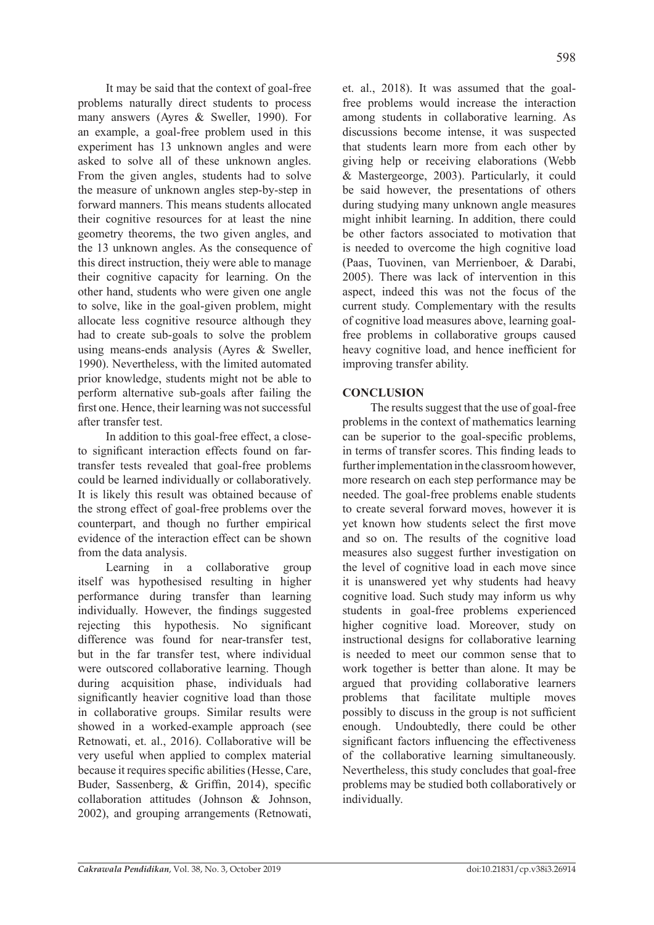It may be said that the context of goal-free problems naturally direct students to process many answers (Ayres & Sweller, 1990). For an example, a goal-free problem used in this experiment has 13 unknown angles and were asked to solve all of these unknown angles. From the given angles, students had to solve the measure of unknown angles step-by-step in forward manners. This means students allocated their cognitive resources for at least the nine geometry theorems, the two given angles, and the 13 unknown angles. As the consequence of this direct instruction, theiy were able to manage their cognitive capacity for learning. On the other hand, students who were given one angle to solve, like in the goal-given problem, might allocate less cognitive resource although they had to create sub-goals to solve the problem using means-ends analysis (Ayres & Sweller, 1990). Nevertheless, with the limited automated prior knowledge, students might not be able to perform alternative sub-goals after failing the first one. Hence, their learning was not successful after transfer test.

In addition to this goal-free effect, a closeto significant interaction effects found on fartransfer tests revealed that goal-free problems could be learned individually or collaboratively. It is likely this result was obtained because of the strong effect of goal-free problems over the counterpart, and though no further empirical evidence of the interaction effect can be shown from the data analysis.

Learning in a collaborative group itself was hypothesised resulting in higher performance during transfer than learning individually. However, the findings suggested rejecting this hypothesis. No significant difference was found for near-transfer test, but in the far transfer test, where individual were outscored collaborative learning. Though during acquisition phase, individuals had significantly heavier cognitive load than those in collaborative groups. Similar results were showed in a worked-example approach (see Retnowati, et. al., 2016). Collaborative will be very useful when applied to complex material because it requires specific abilities (Hesse, Care, Buder, Sassenberg, & Griffin, 2014), specific collaboration attitudes (Johnson & Johnson, 2002), and grouping arrangements (Retnowati, et. al., 2018). It was assumed that the goalfree problems would increase the interaction among students in collaborative learning. As discussions become intense, it was suspected that students learn more from each other by giving help or receiving elaborations (Webb & Mastergeorge, 2003). Particularly, it could be said however, the presentations of others during studying many unknown angle measures might inhibit learning. In addition, there could be other factors associated to motivation that is needed to overcome the high cognitive load (Paas, Tuovinen, van Merrienboer, & Darabi, 2005). There was lack of intervention in this aspect, indeed this was not the focus of the current study. Complementary with the results of cognitive load measures above, learning goalfree problems in collaborative groups caused heavy cognitive load, and hence inefficient for improving transfer ability.

# **CONCLUSION**

The results suggest that the use of goal-free problems in the context of mathematics learning can be superior to the goal-specific problems, in terms of transfer scores. This finding leads to further implementation in the classroom however, more research on each step performance may be needed. The goal-free problems enable students to create several forward moves, however it is yet known how students select the first move and so on. The results of the cognitive load measures also suggest further investigation on the level of cognitive load in each move since it is unanswered yet why students had heavy cognitive load. Such study may inform us why students in goal-free problems experienced higher cognitive load. Moreover, study on instructional designs for collaborative learning is needed to meet our common sense that to work together is better than alone. It may be argued that providing collaborative learners problems that facilitate multiple moves possibly to discuss in the group is not sufficient enough. Undoubtedly, there could be other significant factors influencing the effectiveness of the collaborative learning simultaneously. Nevertheless, this study concludes that goal-free problems may be studied both collaboratively or individually.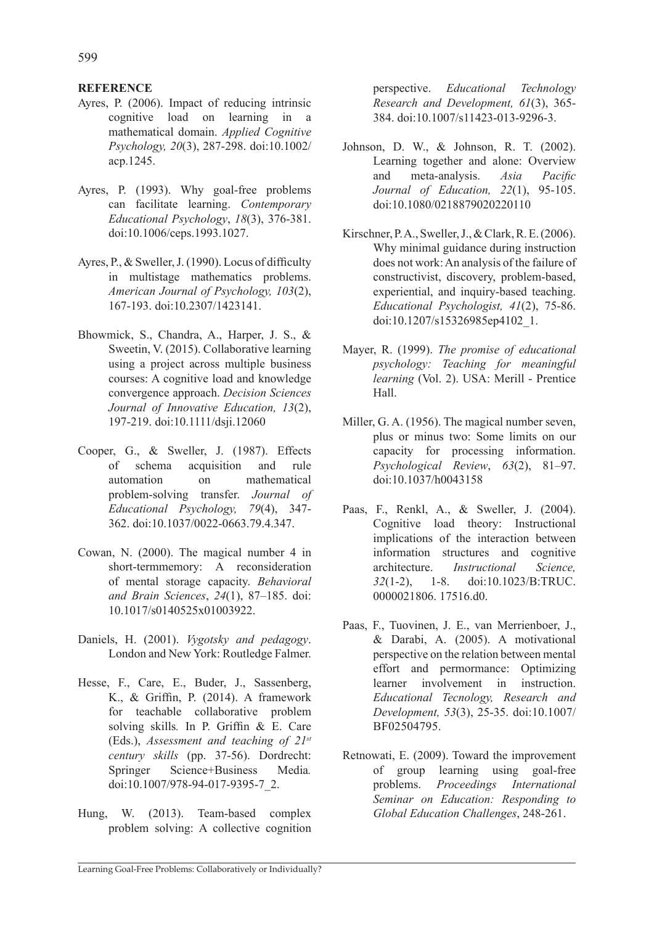### **REFERENCE**

- Ayres, P. (2006). Impact of reducing intrinsic cognitive load on learning in a mathematical domain. *Applied Cognitive Psychology, 20*(3), 287-298. doi:10.1002/ acp.1245.
- Ayres, P. (1993). Why goal-free problems can facilitate learning. *Contemporary Educational Psychology*, *18*(3), 376-381. doi:10.1006/ceps.1993.1027.
- Ayres, P., & Sweller, J. (1990). Locus of difficulty in multistage mathematics problems. *American Journal of Psychology, 103*(2), 167-193. doi:10.2307/1423141.
- Bhowmick, S., Chandra, A., Harper, J. S., & Sweetin, V. (2015). Collaborative learning using a project across multiple business courses: A cognitive load and knowledge convergence approach. *Decision Sciences Journal of Innovative Education, 13*(2), 197-219. doi:10.1111/dsji.12060
- Cooper, G., & Sweller, J. (1987). Effects of schema acquisition and rule automation on mathematical problem-solving transfer. *Journal of Educational Psychology, 79*(4), 347- 362. doi:10.1037/0022-0663.79.4.347.
- Cowan, N. (2000). The magical number 4 in short-termmemory: A reconsideration of mental storage capacity. *Behavioral and Brain Sciences*, *24*(1), 87–185. doi: 10.1017/s0140525x01003922.
- Daniels, H. (2001). *Vygotsky and pedagogy*. London and New York: Routledge Falmer.
- Hesse, F., Care, E., Buder, J., Sassenberg, K., & Griffin, P. (2014). A framework for teachable collaborative problem solving skills*.* In P. Griffin & E. Care (Eds.), *Assessment and teaching of 21st century skills* (pp. 37-56). Dordrecht: Springer Science+Business Media*.*  doi:10.1007/978-94-017-9395-7\_2.
- Hung, W. (2013). Team-based complex problem solving: A collective cognition

perspective. *Educational Technology Research and Development, 61*(3), 365- 384. doi:10.1007/s11423-013-9296-3.

- Johnson, D. W., & Johnson, R. T. (2002). Learning together and alone: Overview and meta-analysis. *Asia Pacific Journal of Education, 22*(1), 95-105. doi:10.1080/0218879020220110
- Kirschner, P. A., Sweller, J., & Clark, R. E. (2006). Why minimal guidance during instruction does not work: An analysis of the failure of constructivist, discovery, problem-based, experiential, and inquiry-based teaching. *Educational Psychologist, 41*(2), 75-86. doi:10.1207/s15326985ep4102\_1.
- Mayer, R. (1999). *The promise of educational psychology: Teaching for meaningful learning* (Vol. 2). USA: Merill - Prentice Hall.
- Miller, G. A. (1956). The magical number seven, plus or minus two: Some limits on our capacity for processing information. *Psychological Review*, *63*(2), 81–97. doi:10.1037/h0043158
- Paas, F., Renkl, A., & Sweller, J. (2004). Cognitive load theory: Instructional implications of the interaction between information structures and cognitive architecture. *Instructional Science, 32*(1-2), 1-8. doi:10.1023/B:TRUC. 0000021806. 17516.d0.
- Paas, F., Tuovinen, J. E., van Merrienboer, J., & Darabi, A. (2005). A motivational perspective on the relation between mental effort and permormance: Optimizing learner involvement in instruction. *Educational Tecnology, Research and Development, 53*(3), 25-35. doi:10.1007/ BF02504795.
- Retnowati, E. (2009). Toward the improvement of group learning using goal-free problems. *Proceedings International Seminar on Education: Responding to Global Education Challenges*, 248-261.